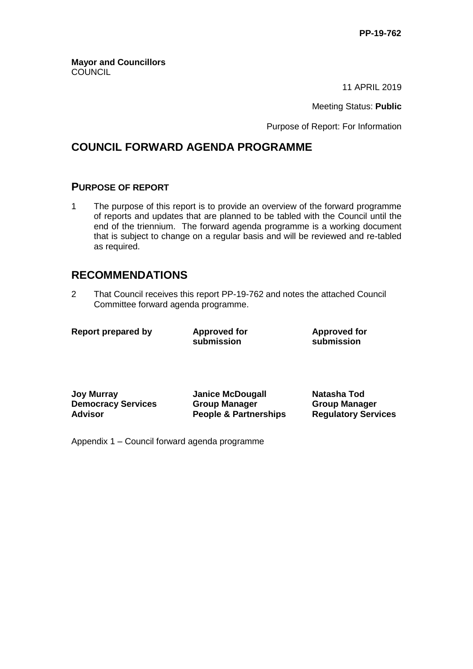**Mayor and Councillors COUNCIL** 

11 APRIL 2019

Meeting Status: **Public**

Purpose of Report: For Information

### **COUNCIL FORWARD AGENDA PROGRAMME**

#### **PURPOSE OF REPORT**

1 The purpose of this report is to provide an overview of the forward programme of reports and updates that are planned to be tabled with the Council until the end of the triennium. The forward agenda programme is a working document that is subject to change on a regular basis and will be reviewed and re-tabled as required.

### **RECOMMENDATIONS**

2 That Council receives this report PP-19-762 and notes the attached Council Committee forward agenda programme.

|  | <b>Report prepared by</b> |  |
|--|---------------------------|--|
|--|---------------------------|--|

**Approved** for **submission**

**Approved for submission**

**Joy Murray Janice McDougall Natasha Tod Democracy Services Advisor**

**Group Manager People & Partnerships** **Group Manager Regulatory Services**

Appendix 1 – Council forward agenda programme